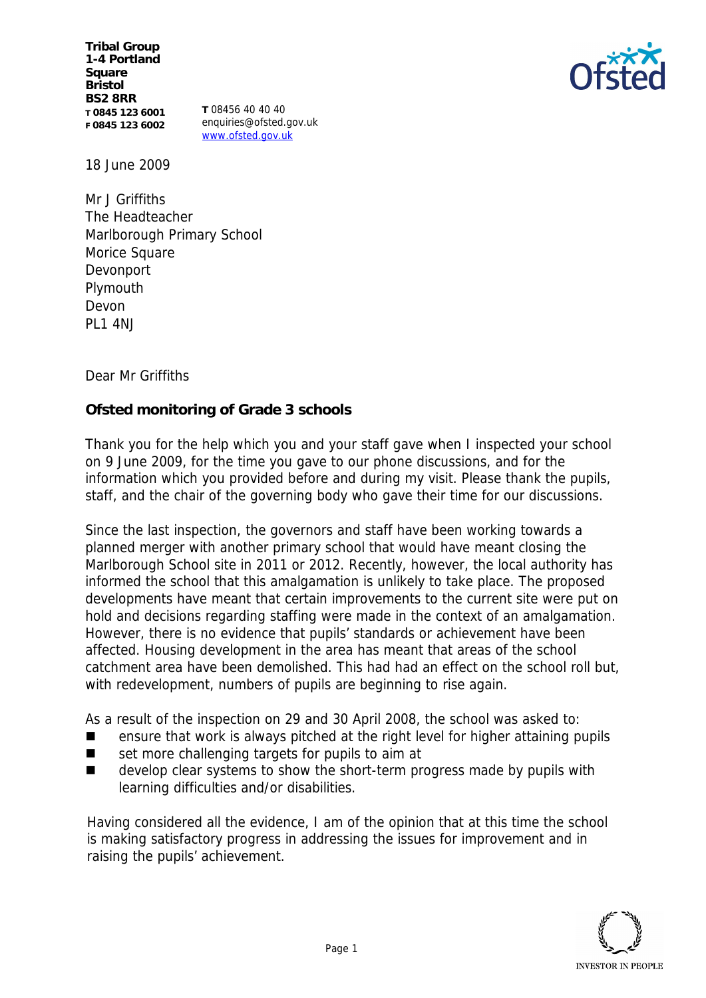**Tribal Group 1-4 Portland Square Bristol BS2 8RR T 0845 123 6001 F 0845 123 6002**

**T** 08456 40 40 40 enquiries@ofsted.gov.uk www.ofsted.gov.uk



18 June 2009

Mr J Griffiths The Headteacher Marlborough Primary School Morice Square Devonport Plymouth Devon PL1 4NJ

Dear Mr Griffiths

**Ofsted monitoring of Grade 3 schools** 

Thank you for the help which you and your staff gave when I inspected your school on 9 June 2009, for the time you gave to our phone discussions, and for the information which you provided before and during my visit. Please thank the pupils, staff, and the chair of the governing body who gave their time for our discussions.

Since the last inspection, the governors and staff have been working towards a planned merger with another primary school that would have meant closing the Marlborough School site in 2011 or 2012. Recently, however, the local authority has informed the school that this amalgamation is unlikely to take place. The proposed developments have meant that certain improvements to the current site were put on hold and decisions regarding staffing were made in the context of an amalgamation. However, there is no evidence that pupils' standards or achievement have been affected. Housing development in the area has meant that areas of the school catchment area have been demolished. This had had an effect on the school roll but, with redevelopment, numbers of pupils are beginning to rise again.

As a result of the inspection on 29 and 30 April 2008, the school was asked to:

- ensure that work is always pitched at the right level for higher attaining pupils
- set more challenging targets for pupils to aim at
- develop clear systems to show the short-term progress made by pupils with learning difficulties and/or disabilities.

Having considered all the evidence, I am of the opinion that at this time the school is making satisfactory progress in addressing the issues for improvement and in raising the pupils' achievement.

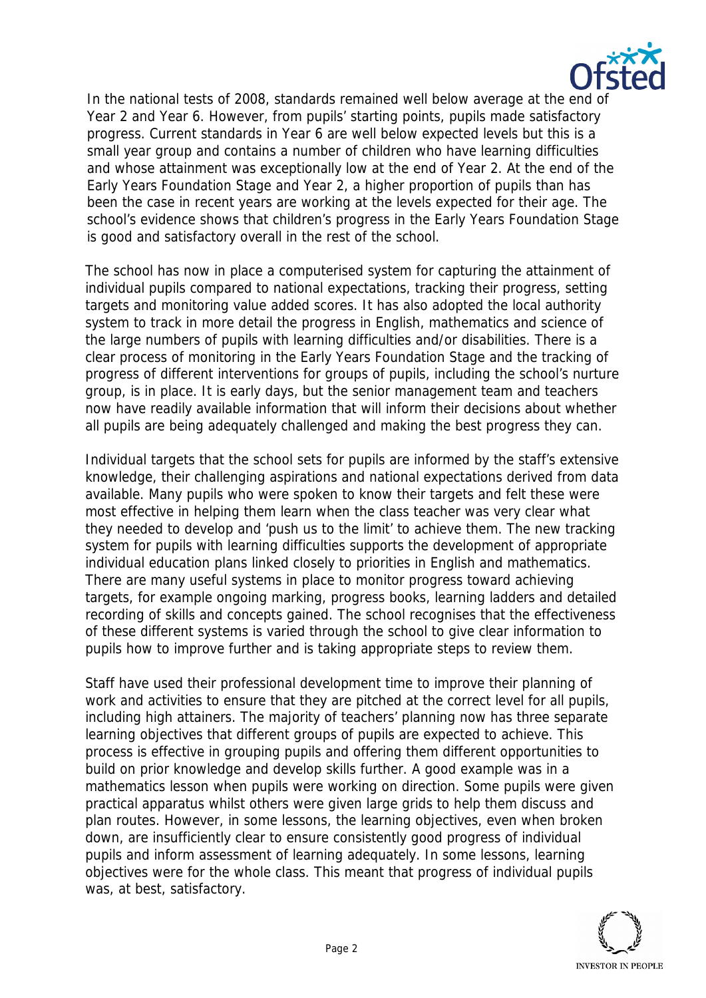

In the national tests of 2008, standards remained well below average at the end of Year 2 and Year 6. However, from pupils' starting points, pupils made satisfactory progress. Current standards in Year 6 are well below expected levels but this is a small year group and contains a number of children who have learning difficulties and whose attainment was exceptionally low at the end of Year 2. At the end of the Early Years Foundation Stage and Year 2, a higher proportion of pupils than has been the case in recent years are working at the levels expected for their age. The school's evidence shows that children's progress in the Early Years Foundation Stage is good and satisfactory overall in the rest of the school.

The school has now in place a computerised system for capturing the attainment of individual pupils compared to national expectations, tracking their progress, setting targets and monitoring value added scores. It has also adopted the local authority system to track in more detail the progress in English, mathematics and science of the large numbers of pupils with learning difficulties and/or disabilities. There is a clear process of monitoring in the Early Years Foundation Stage and the tracking of progress of different interventions for groups of pupils, including the school's nurture group, is in place. It is early days, but the senior management team and teachers now have readily available information that will inform their decisions about whether all pupils are being adequately challenged and making the best progress they can.

Individual targets that the school sets for pupils are informed by the staff's extensive knowledge, their challenging aspirations and national expectations derived from data available. Many pupils who were spoken to know their targets and felt these were most effective in helping them learn when the class teacher was very clear what they needed to develop and 'push us to the limit' to achieve them. The new tracking system for pupils with learning difficulties supports the development of appropriate individual education plans linked closely to priorities in English and mathematics. There are many useful systems in place to monitor progress toward achieving targets, for example ongoing marking, progress books, learning ladders and detailed recording of skills and concepts gained. The school recognises that the effectiveness of these different systems is varied through the school to give clear information to pupils how to improve further and is taking appropriate steps to review them.

Staff have used their professional development time to improve their planning of work and activities to ensure that they are pitched at the correct level for all pupils, including high attainers. The majority of teachers' planning now has three separate learning objectives that different groups of pupils are expected to achieve. This process is effective in grouping pupils and offering them different opportunities to build on prior knowledge and develop skills further. A good example was in a mathematics lesson when pupils were working on direction. Some pupils were given practical apparatus whilst others were given large grids to help them discuss and plan routes. However, in some lessons, the learning objectives, even when broken down, are insufficiently clear to ensure consistently good progress of individual pupils and inform assessment of learning adequately. In some lessons, learning objectives were for the whole class. This meant that progress of individual pupils was, at best, satisfactory.